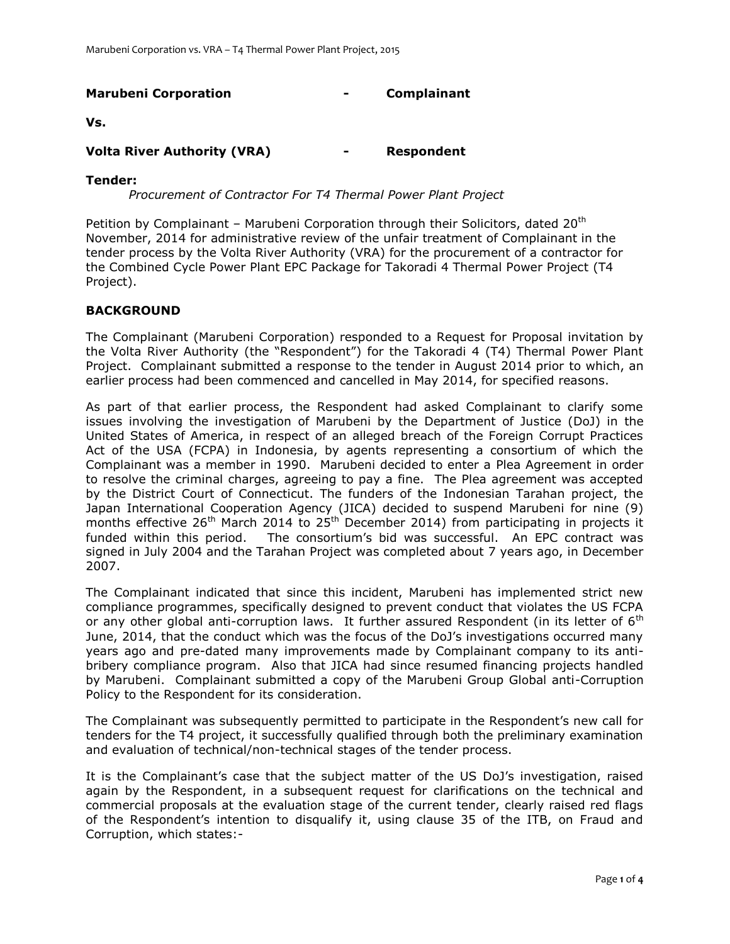| <b>Marubeni Corporation</b>        | - | Complainant       |
|------------------------------------|---|-------------------|
| Vs.                                |   |                   |
| <b>Volta River Authority (VRA)</b> | - | <b>Respondent</b> |

#### **Tender:**

*Procurement of Contractor For T4 Thermal Power Plant Project*

Petition by Complainant – Marubeni Corporation through their Solicitors, dated 20<sup>th</sup> November, 2014 for administrative review of the unfair treatment of Complainant in the tender process by the Volta River Authority (VRA) for the procurement of a contractor for the Combined Cycle Power Plant EPC Package for Takoradi 4 Thermal Power Project (T4 Project).

## **BACKGROUND**

The Complainant (Marubeni Corporation) responded to a Request for Proposal invitation by the Volta River Authority (the "Respondent") for the Takoradi 4 (T4) Thermal Power Plant Project. Complainant submitted a response to the tender in August 2014 prior to which, an earlier process had been commenced and cancelled in May 2014, for specified reasons.

As part of that earlier process, the Respondent had asked Complainant to clarify some issues involving the investigation of Marubeni by the Department of Justice (DoJ) in the United States of America, in respect of an alleged breach of the Foreign Corrupt Practices Act of the USA (FCPA) in Indonesia, by agents representing a consortium of which the Complainant was a member in 1990. Marubeni decided to enter a Plea Agreement in order to resolve the criminal charges, agreeing to pay a fine. The Plea agreement was accepted by the District Court of Connecticut. The funders of the Indonesian Tarahan project, the Japan International Cooperation Agency (JICA) decided to suspend Marubeni for nine (9) months effective 26<sup>th</sup> March 2014 to 25<sup>th</sup> December 2014) from participating in projects it funded within this period. The consortium's bid was successful. An EPC contract was signed in July 2004 and the Tarahan Project was completed about 7 years ago, in December 2007.

The Complainant indicated that since this incident, Marubeni has implemented strict new compliance programmes, specifically designed to prevent conduct that violates the US FCPA or any other global anti-corruption laws. It further assured Respondent (in its letter of  $6<sup>th</sup>$ June, 2014, that the conduct which was the focus of the DoJ's investigations occurred many years ago and pre-dated many improvements made by Complainant company to its antibribery compliance program. Also that JICA had since resumed financing projects handled by Marubeni. Complainant submitted a copy of the Marubeni Group Global anti-Corruption Policy to the Respondent for its consideration.

The Complainant was subsequently permitted to participate in the Respondent's new call for tenders for the T4 project, it successfully qualified through both the preliminary examination and evaluation of technical/non-technical stages of the tender process.

It is the Complainant's case that the subject matter of the US DoJ's investigation, raised again by the Respondent, in a subsequent request for clarifications on the technical and commercial proposals at the evaluation stage of the current tender, clearly raised red flags of the Respondent's intention to disqualify it, using clause 35 of the ITB, on Fraud and Corruption, which states:-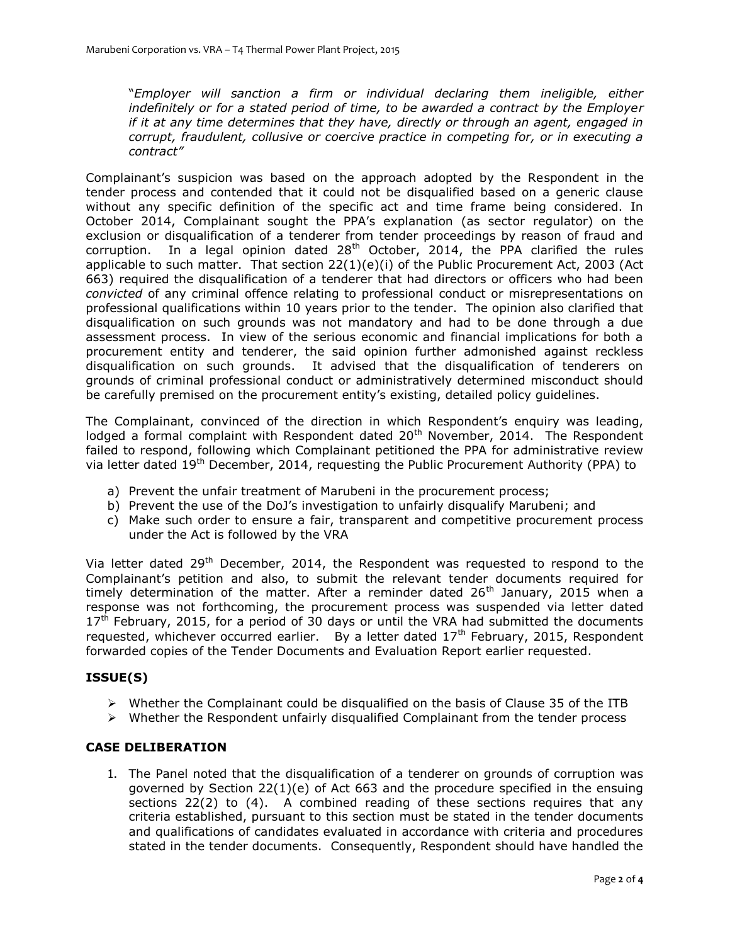"*Employer will sanction a firm or individual declaring them ineligible, either indefinitely or for a stated period of time, to be awarded a contract by the Employer if it at any time determines that they have, directly or through an agent, engaged in corrupt, fraudulent, collusive or coercive practice in competing for, or in executing a contract"*

Complainant's suspicion was based on the approach adopted by the Respondent in the tender process and contended that it could not be disqualified based on a generic clause without any specific definition of the specific act and time frame being considered. In October 2014, Complainant sought the PPA's explanation (as sector regulator) on the exclusion or disqualification of a tenderer from tender proceedings by reason of fraud and corruption. In a legal opinion dated  $28<sup>th</sup>$  October, 2014, the PPA clarified the rules applicable to such matter. That section  $22(1)(e)(i)$  of the Public Procurement Act, 2003 (Act 663) required the disqualification of a tenderer that had directors or officers who had been *convicted* of any criminal offence relating to professional conduct or misrepresentations on professional qualifications within 10 years prior to the tender. The opinion also clarified that disqualification on such grounds was not mandatory and had to be done through a due assessment process. In view of the serious economic and financial implications for both a procurement entity and tenderer, the said opinion further admonished against reckless disqualification on such grounds. It advised that the disqualification of tenderers on grounds of criminal professional conduct or administratively determined misconduct should be carefully premised on the procurement entity's existing, detailed policy guidelines.

The Complainant, convinced of the direction in which Respondent's enquiry was leading, lodged a formal complaint with Respondent dated  $20<sup>th</sup>$  November, 2014. The Respondent failed to respond, following which Complainant petitioned the PPA for administrative review via letter dated 19<sup>th</sup> December, 2014, requesting the Public Procurement Authority (PPA) to

- a) Prevent the unfair treatment of Marubeni in the procurement process;
- b) Prevent the use of the DoJ's investigation to unfairly disqualify Marubeni; and
- c) Make such order to ensure a fair, transparent and competitive procurement process under the Act is followed by the VRA

Via letter dated 29<sup>th</sup> December, 2014, the Respondent was requested to respond to the Complainant's petition and also, to submit the relevant tender documents required for timely determination of the matter. After a reminder dated  $26<sup>th</sup>$  January, 2015 when a response was not forthcoming, the procurement process was suspended via letter dated  $17<sup>th</sup>$  February, 2015, for a period of 30 days or until the VRA had submitted the documents requested, whichever occurred earlier. By a letter dated  $17<sup>th</sup>$  February, 2015, Respondent forwarded copies of the Tender Documents and Evaluation Report earlier requested.

# **ISSUE(S)**

- $\triangleright$  Whether the Complainant could be disqualified on the basis of Clause 35 of the ITB
- $\triangleright$  Whether the Respondent unfairly disqualified Complainant from the tender process

### **CASE DELIBERATION**

1. The Panel noted that the disqualification of a tenderer on grounds of corruption was governed by Section 22(1)(e) of Act 663 and the procedure specified in the ensuing sections 22(2) to (4). A combined reading of these sections requires that any criteria established, pursuant to this section must be stated in the tender documents and qualifications of candidates evaluated in accordance with criteria and procedures stated in the tender documents. Consequently, Respondent should have handled the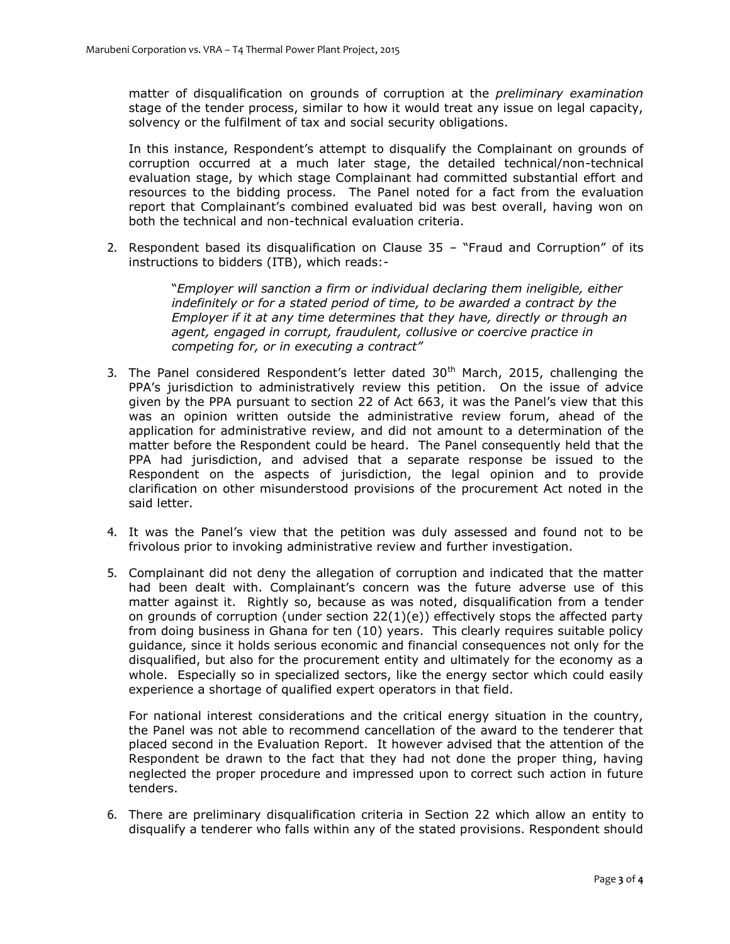matter of disqualification on grounds of corruption at the *preliminary examination* stage of the tender process, similar to how it would treat any issue on legal capacity, solvency or the fulfilment of tax and social security obligations.

In this instance, Respondent's attempt to disqualify the Complainant on grounds of corruption occurred at a much later stage, the detailed technical/non-technical evaluation stage, by which stage Complainant had committed substantial effort and resources to the bidding process. The Panel noted for a fact from the evaluation report that Complainant's combined evaluated bid was best overall, having won on both the technical and non-technical evaluation criteria.

2. Respondent based its disqualification on Clause 35 – "Fraud and Corruption" of its instructions to bidders (ITB), which reads:-

> "*Employer will sanction a firm or individual declaring them ineligible, either indefinitely or for a stated period of time, to be awarded a contract by the Employer if it at any time determines that they have, directly or through an agent, engaged in corrupt, fraudulent, collusive or coercive practice in competing for, or in executing a contract"*

- 3. The Panel considered Respondent's letter dated  $30<sup>th</sup>$  March, 2015, challenging the PPA's jurisdiction to administratively review this petition. On the issue of advice given by the PPA pursuant to section 22 of Act 663, it was the Panel's view that this was an opinion written outside the administrative review forum, ahead of the application for administrative review, and did not amount to a determination of the matter before the Respondent could be heard. The Panel consequently held that the PPA had jurisdiction, and advised that a separate response be issued to the Respondent on the aspects of jurisdiction, the legal opinion and to provide clarification on other misunderstood provisions of the procurement Act noted in the said letter.
- 4. It was the Panel's view that the petition was duly assessed and found not to be frivolous prior to invoking administrative review and further investigation.
- 5. Complainant did not deny the allegation of corruption and indicated that the matter had been dealt with. Complainant's concern was the future adverse use of this matter against it. Rightly so, because as was noted, disqualification from a tender on grounds of corruption (under section  $22(1)(e)$ ) effectively stops the affected party from doing business in Ghana for ten (10) years. This clearly requires suitable policy guidance, since it holds serious economic and financial consequences not only for the disqualified, but also for the procurement entity and ultimately for the economy as a whole. Especially so in specialized sectors, like the energy sector which could easily experience a shortage of qualified expert operators in that field.

For national interest considerations and the critical energy situation in the country, the Panel was not able to recommend cancellation of the award to the tenderer that placed second in the Evaluation Report. It however advised that the attention of the Respondent be drawn to the fact that they had not done the proper thing, having neglected the proper procedure and impressed upon to correct such action in future tenders.

6. There are preliminary disqualification criteria in Section 22 which allow an entity to disqualify a tenderer who falls within any of the stated provisions. Respondent should